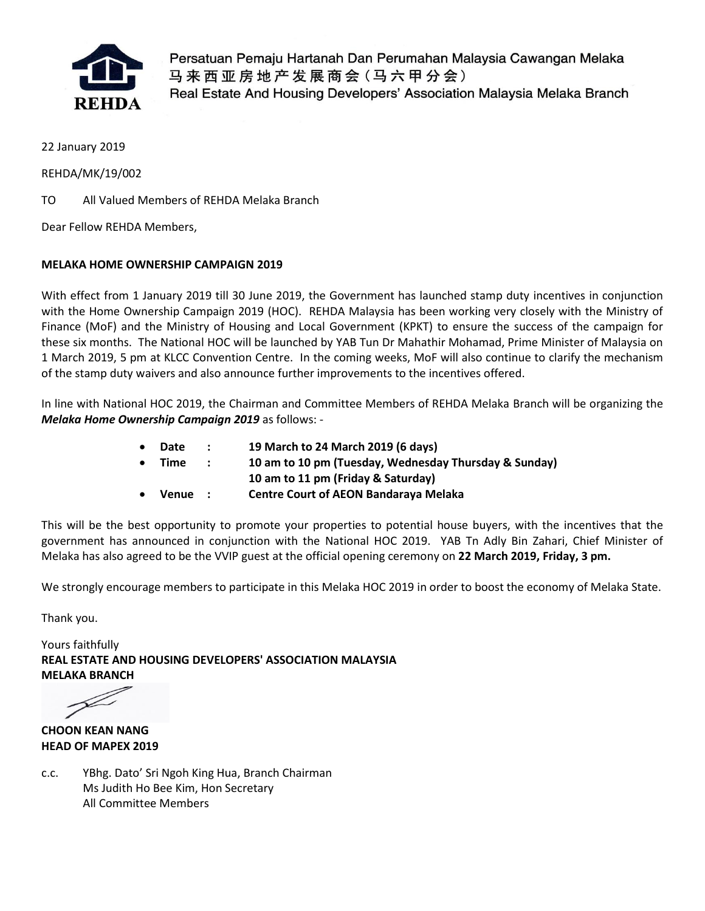

Persatuan Pemaju Hartanah Dan Perumahan Malaysia Cawangan Melaka 马来西亚房地产发展商会(马六甲分会) Real Estate And Housing Developers' Association Malaysia Melaka Branch

22 January 2019

REHDA/MK/19/002

TO All Valued Members of REHDA Melaka Branch

Dear Fellow REHDA Members,

### **MELAKA HOME OWNERSHIP CAMPAIGN 2019**

With effect from 1 January 2019 till 30 June 2019, the Government has launched stamp duty incentives in conjunction with the Home Ownership Campaign 2019 (HOC). REHDA Malaysia has been working very closely with the Ministry of Finance (MoF) and the Ministry of Housing and Local Government (KPKT) to ensure the success of the campaign for these six months. The National HOC will be launched by YAB Tun Dr Mahathir Mohamad, Prime Minister of Malaysia on 1 March 2019, 5 pm at KLCC Convention Centre. In the coming weeks, MoF will also continue to clarify the mechanism of the stamp duty waivers and also announce further improvements to the incentives offered.

In line with National HOC 2019, the Chairman and Committee Members of REHDA Melaka Branch will be organizing the *Melaka Home Ownership Campaign 2019* as follows: -

- **Date : 19 March to 24 March 2019 (6 days)**
- **Time : 10 am to 10 pm (Tuesday, Wednesday Thursday & Sunday)**
	- **10 am to 11 pm (Friday & Saturday)**
- **Venue : Centre Court of AEON Bandaraya Melaka**

This will be the best opportunity to promote your properties to potential house buyers, with the incentives that the government has announced in conjunction with the National HOC 2019. YAB Tn Adly Bin Zahari, Chief Minister of Melaka has also agreed to be the VVIP guest at the official opening ceremony on **22 March 2019, Friday, 3 pm.**

We strongly encourage members to participate in this Melaka HOC 2019 in order to boost the economy of Melaka State.

Thank you.

Yours faithfully **REAL ESTATE AND HOUSING DEVELOPERS' ASSOCIATION MALAYSIA MELAKA BRANCH** 

**CHOON KEAN NANG HEAD OF MAPEX 2019**

c.c. YBhg. Dato' Sri Ngoh King Hua, Branch Chairman Ms Judith Ho Bee Kim, Hon Secretary All Committee Members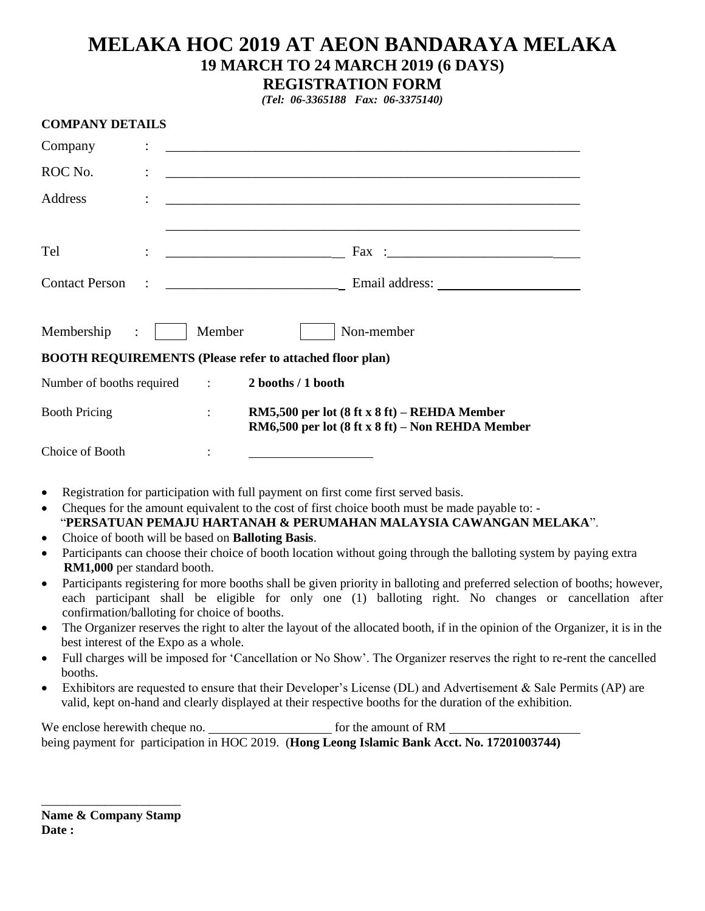# **MELAKA HOC 2019 AT AEON BANDARAYA MELAKA 19 MARCH TO 24 MARCH 2019 (6 DAYS) REGISTRATION FORM**

*(Tel: 06-3365188 Fax: 06-3375140)*

| <b>COMPANY DETAILS</b>       |                      |                                                                                                                                                |
|------------------------------|----------------------|------------------------------------------------------------------------------------------------------------------------------------------------|
| Company                      |                      |                                                                                                                                                |
| ROC No.                      |                      | <u> 1989 - Johann Barbara, martin amerikan basal dan berasal dalam basal dalam basal dalam basal dalam basal dala</u>                          |
| Address                      |                      | <u> 1980 - Jan James James James James James James James James James James James James James James James James J</u>                           |
| Tel                          |                      |                                                                                                                                                |
| <b>Contact Person</b>        |                      |                                                                                                                                                |
| Membership<br>$\ddot{\cdot}$ | Member               | Non-member                                                                                                                                     |
|                              |                      | <b>BOOTH REQUIREMENTS (Please refer to attached floor plan)</b>                                                                                |
| Number of booths required :  |                      | 2 booths / 1 booth                                                                                                                             |
| <b>Booth Pricing</b>         | $\ddot{\phantom{a}}$ | RM5,500 per lot $(8 \text{ ft} \times 8 \text{ ft})$ – REHDA Member<br>RM6,500 per lot $(8 \text{ ft} \times 8 \text{ ft})$ – Non REHDA Member |
| Choice of Booth              |                      |                                                                                                                                                |
|                              |                      |                                                                                                                                                |

- Registration for participation with full payment on first come first served basis.
- Cheques for the amount equivalent to the cost of first choice booth must be made payable to: "**PERSATUAN PEMAJU HARTANAH & PERUMAHAN MALAYSIA CAWANGAN MELAKA**".
- Choice of booth will be based on **Balloting Basis**.
- Participants can choose their choice of booth location without going through the balloting system by paying extra **RM1,000** per standard booth.
- Participants registering for more booths shall be given priority in balloting and preferred selection of booths; however, each participant shall be eligible for only one (1) balloting right. No changes or cancellation after confirmation/balloting for choice of booths.
- The Organizer reserves the right to alter the layout of the allocated booth, if in the opinion of the Organizer, it is in the best interest of the Expo as a whole.
- Full charges will be imposed for 'Cancellation or No Show'. The Organizer reserves the right to re-rent the cancelled booths.
- Exhibitors are requested to ensure that their Developer's License (DL) and Advertisement & Sale Permits (AP) are valid, kept on-hand and clearly displayed at their respective booths for the duration of the exhibition.

We enclose herewith cheque no. https://www.formal.com/section-section-section-section-section-section-sectionbeing payment for participation in HOC 2019. (**Hong Leong Islamic Bank Acct. No. 17201003744)**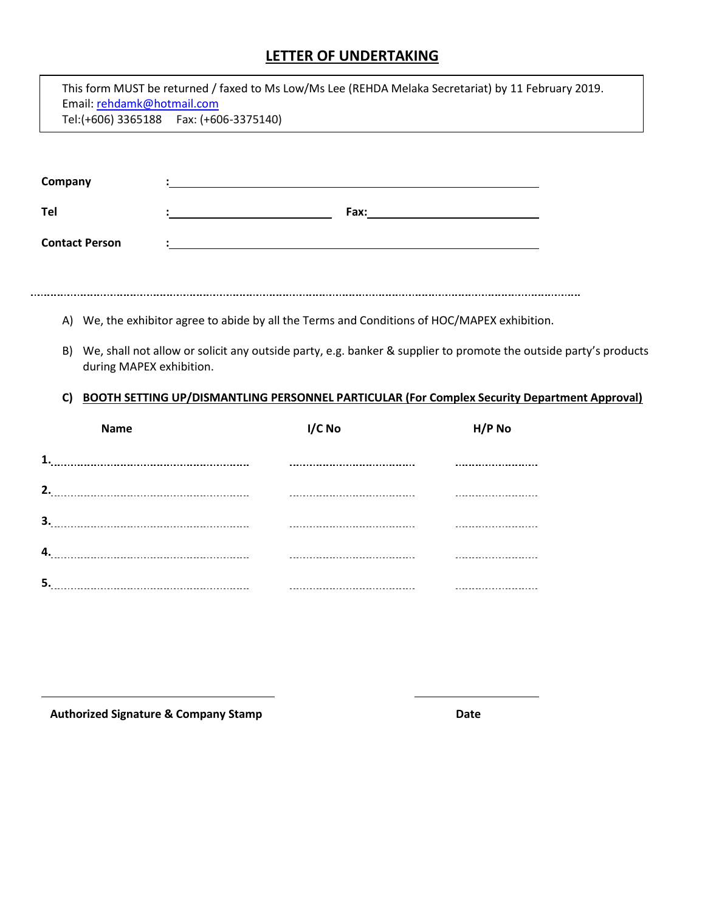## **LETTER OF UNDERTAKING**

| Email: rehdamk@hotmail.com | This form MUST be returned / faxed to Ms Low/Ms Lee (REHDA Melaka Secretariat) by 11 February 2019.<br>Tel:(+606) 3365188    Fax: (+606-3375140) |                                                                                                                                                                                                                                     |
|----------------------------|--------------------------------------------------------------------------------------------------------------------------------------------------|-------------------------------------------------------------------------------------------------------------------------------------------------------------------------------------------------------------------------------------|
| Company                    |                                                                                                                                                  |                                                                                                                                                                                                                                     |
| Tel                        |                                                                                                                                                  |                                                                                                                                                                                                                                     |
| <b>Contact Person</b>      |                                                                                                                                                  |                                                                                                                                                                                                                                     |
|                            |                                                                                                                                                  |                                                                                                                                                                                                                                     |
| B)<br>C)<br><b>Name</b>    | during MAPEX exhibition.<br>I/C No                                                                                                               | We, shall not allow or solicit any outside party, e.g. banker & supplier to promote the outside party's products<br><b>BOOTH SETTING UP/DISMANTLING PERSONNEL PARTICULAR (For Complex Security Department Approval)</b><br>$H/P$ No |
|                            |                                                                                                                                                  |                                                                                                                                                                                                                                     |
|                            |                                                                                                                                                  |                                                                                                                                                                                                                                     |
|                            |                                                                                                                                                  |                                                                                                                                                                                                                                     |
|                            |                                                                                                                                                  |                                                                                                                                                                                                                                     |
|                            |                                                                                                                                                  |                                                                                                                                                                                                                                     |
|                            |                                                                                                                                                  |                                                                                                                                                                                                                                     |

 **Authorized Signature & Company Stamp Date**

L

 $\mathsf{r}$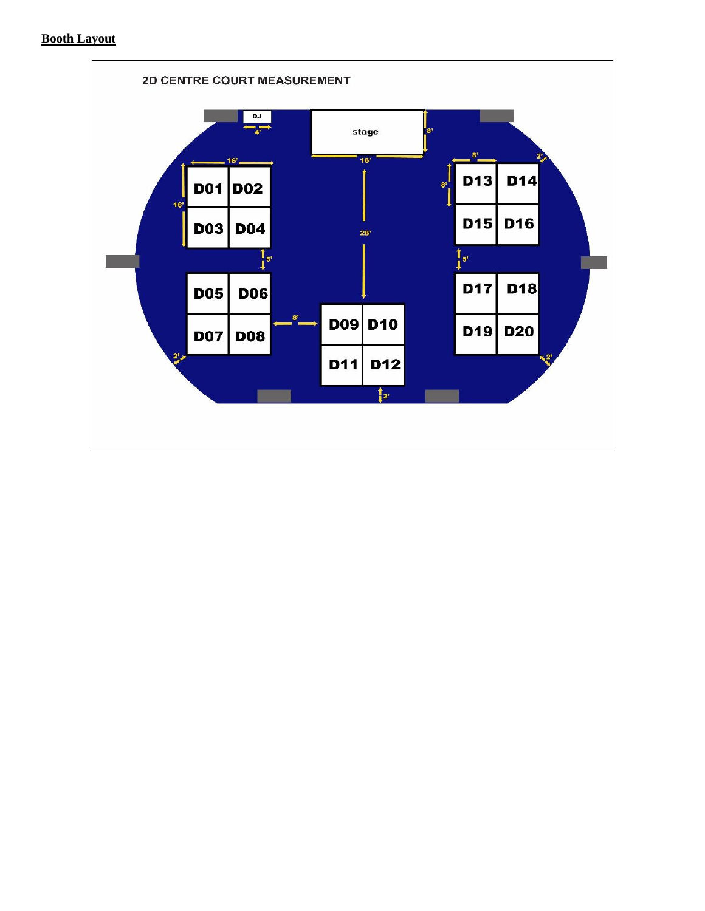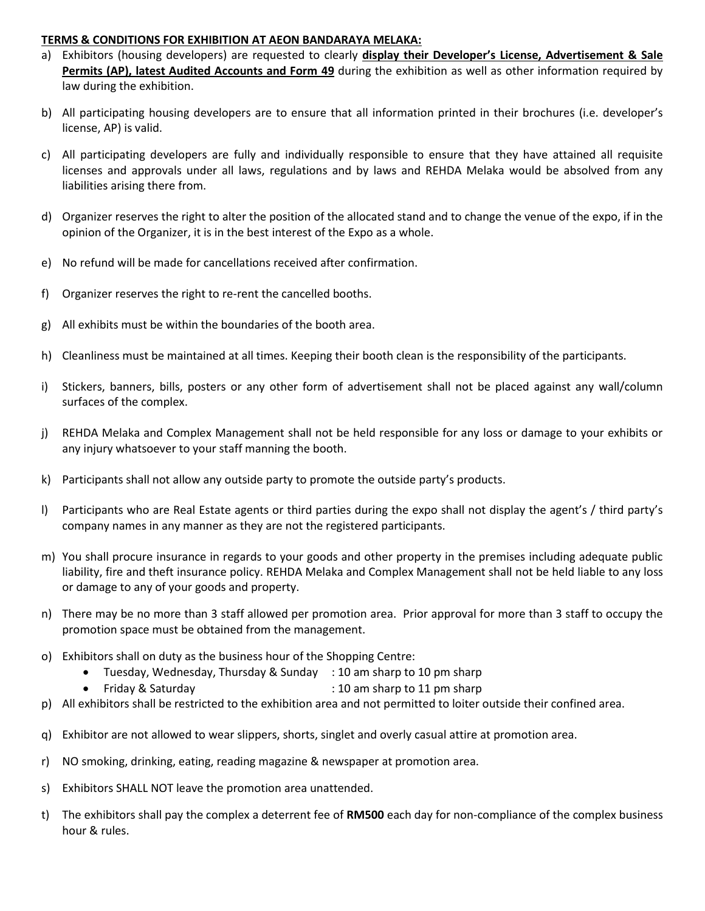#### **TERMS & CONDITIONS FOR EXHIBITION AT AEON BANDARAYA MELAKA:**

- a) Exhibitors (housing developers) are requested to clearly **display their Developer's License, Advertisement & Sale Permits (AP), latest Audited Accounts and Form 49** during the exhibition as well as other information required by law during the exhibition.
- b) All participating housing developers are to ensure that all information printed in their brochures (i.e. developer's license, AP) is valid.
- c) All participating developers are fully and individually responsible to ensure that they have attained all requisite licenses and approvals under all laws, regulations and by laws and REHDA Melaka would be absolved from any liabilities arising there from.
- d) Organizer reserves the right to alter the position of the allocated stand and to change the venue of the expo, if in the opinion of the Organizer, it is in the best interest of the Expo as a whole.
- e) No refund will be made for cancellations received after confirmation.
- f) Organizer reserves the right to re-rent the cancelled booths.
- g) All exhibits must be within the boundaries of the booth area.
- h) Cleanliness must be maintained at all times. Keeping their booth clean is the responsibility of the participants.
- i) Stickers, banners, bills, posters or any other form of advertisement shall not be placed against any wall/column surfaces of the complex.
- j) REHDA Melaka and Complex Management shall not be held responsible for any loss or damage to your exhibits or any injury whatsoever to your staff manning the booth.
- k) Participants shall not allow any outside party to promote the outside party's products.
- l) Participants who are Real Estate agents or third parties during the expo shall not display the agent's / third party's company names in any manner as they are not the registered participants.
- m) You shall procure insurance in regards to your goods and other property in the premises including adequate public liability, fire and theft insurance policy. REHDA Melaka and Complex Management shall not be held liable to any loss or damage to any of your goods and property.
- n) There may be no more than 3 staff allowed per promotion area. Prior approval for more than 3 staff to occupy the promotion space must be obtained from the management.
- o) Exhibitors shall on duty as the business hour of the Shopping Centre:
	- Tuesday, Wednesday, Thursday & Sunday : 10 am sharp to 10 pm sharp
	- Friday & Saturday **Example 3** : 10 am sharp to 11 pm sharp
- p) All exhibitors shall be restricted to the exhibition area and not permitted to loiter outside their confined area.
- q) Exhibitor are not allowed to wear slippers, shorts, singlet and overly casual attire at promotion area.
- r) NO smoking, drinking, eating, reading magazine & newspaper at promotion area.
- s) Exhibitors SHALL NOT leave the promotion area unattended.
- t) The exhibitors shall pay the complex a deterrent fee of **RM500** each day for non-compliance of the complex business hour & rules.